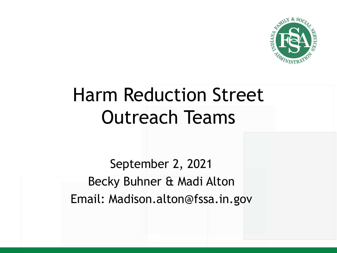

# Harm Reduction Street Outreach Teams

September 2, 2021 Becky Buhner & Madi Alton Email: Madison.alton@fssa.in.gov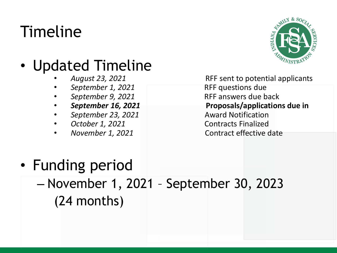## Timeline

#### • Updated Timeline

- 
- 
- 
- 
- *September 23, 2021* Award Notification
- 
- 



• *August 23, 2021* RFF sent to potential applicants • *September 1, 2021* RFF questions due • *September 9, 2021* RFF answers due back • *September 16, 2021* **Proposals/applications due in** *October 1, 2021* Contracts Finalized **November 1, 2021** Contract effective date

#### • Funding period

– November 1, 2021 – September 30, 2023 (24 months)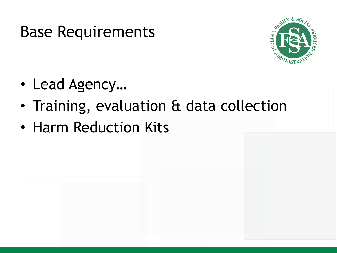#### Base Requirements



- Lead Agency…
- Training, evaluation & data collection
- Harm Reduction Kits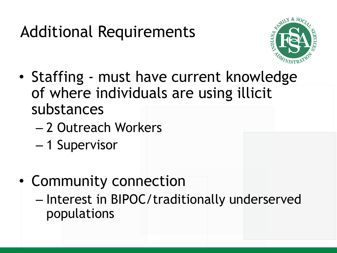## Additional Requirements



- Staffing must have current knowledge of where individuals are using illicit substances
	- 2 Outreach Workers
	- 1 Supervisor
- Community connection
	- Interest in BIPOC/traditionally underserved populations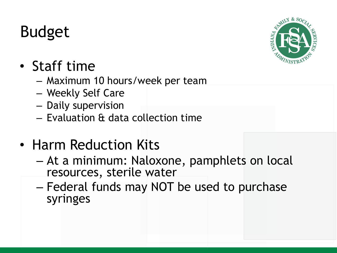## Budget



#### • Staff time

- Maximum 10 hours/week per team
- Weekly Self Care
- Daily supervision
- Evaluation & data collection time
- Harm Reduction Kits
	- At a minimum: Naloxone, pamphlets on local resources, sterile water
	- Federal funds may NOT be used to purchase syringes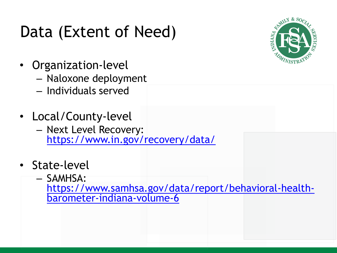### Data (Extent of Need)



- Organization-level
	- Naloxone deployment
	- Individuals served
- Local/County-level
	- Next Level Recovery: <https://www.in.gov/recovery/data/>
- State-level
	- SAMHSA:

[https://www.samhsa.gov/data/report/behavioral-health-](https://www.samhsa.gov/data/report/behavioral-health-barometer-indiana-volume-6)<br>barometer-indiana-volume-6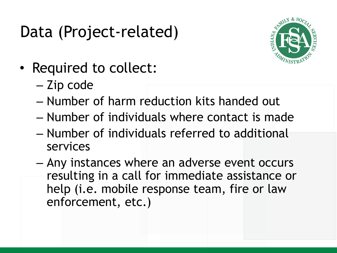### Data (Project-related)



- Required to collect:
	- Zip code
	- Number of harm reduction kits handed out
	- Number of individuals where contact is made
	- Number of individuals referred to additional services
	- Any instances where an adverse event occurs resulting in a call for immediate assistance or help (i.e. mobile response team, fire or law enforcement, etc.)